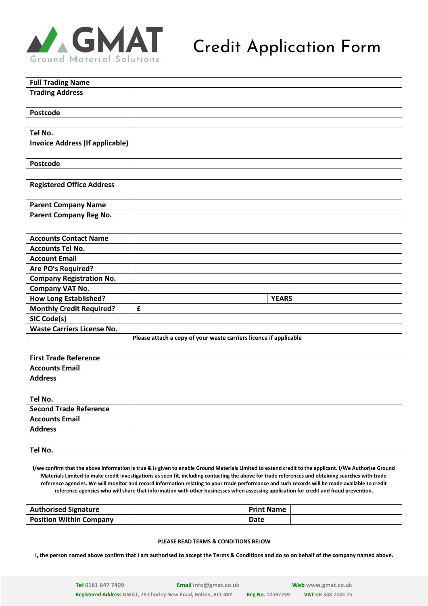

# Credit Application Form

| <b>Full Trading Name</b>               |  |
|----------------------------------------|--|
| <b>Trading Address</b>                 |  |
|                                        |  |
| Postcode                               |  |
|                                        |  |
| Tel No.                                |  |
| <b>Invoice Address (If applicable)</b> |  |
|                                        |  |
| Postcode                               |  |

| <b>Registered Office Address</b> |  |
|----------------------------------|--|
| <b>Parent Company Name</b>       |  |
| Parent Company Reg No.           |  |

| <b>Accounts Contact Name</b>                                      |   |              |  |  |
|-------------------------------------------------------------------|---|--------------|--|--|
| <b>Accounts Tel No.</b>                                           |   |              |  |  |
| <b>Account Email</b>                                              |   |              |  |  |
| Are PO's Required?                                                |   |              |  |  |
| <b>Company Registration No.</b>                                   |   |              |  |  |
| <b>Company VAT No.</b>                                            |   |              |  |  |
| <b>How Long Established?</b>                                      |   | <b>YEARS</b> |  |  |
| <b>Monthly Credit Required?</b>                                   | £ |              |  |  |
| SIC Code(s)                                                       |   |              |  |  |
| <b>Waste Carriers License No.</b>                                 |   |              |  |  |
| Please attach a copy of your waste carriers licence if applicable |   |              |  |  |

| <b>First Trade Reference</b>  |  |
|-------------------------------|--|
| <b>Accounts Email</b>         |  |
| <b>Address</b>                |  |
|                               |  |
| Tel No.                       |  |
| <b>Second Trade Reference</b> |  |
| <b>Accounts Email</b>         |  |
| <b>Address</b>                |  |
|                               |  |
| Tel No.                       |  |

**I/we confirm that the above information is true & is given to enable Ground Materials Limited to extend credit to the applicant. I/We Authorise Ground Materials Limited to make credit investigations as seen fit, including contacting the above for trade references and obtaining searches with trade reference agencies. We will monitor and record information relating to your trade performance and such records will be made available to credit reference agencies who will share that information with other businesses when assessing application for credit and fraud prevention.**

| <b>Authorised Signature</b>    | <b>Print Name</b> |  |
|--------------------------------|-------------------|--|
| <b>Position Within Company</b> | Date              |  |

# **PLEASE READ TERMS & CONDITIONS BELOW**

**I, the person named above confirm that I am authorised to accept the Terms & Conditions and do so on behalf of the company named above.**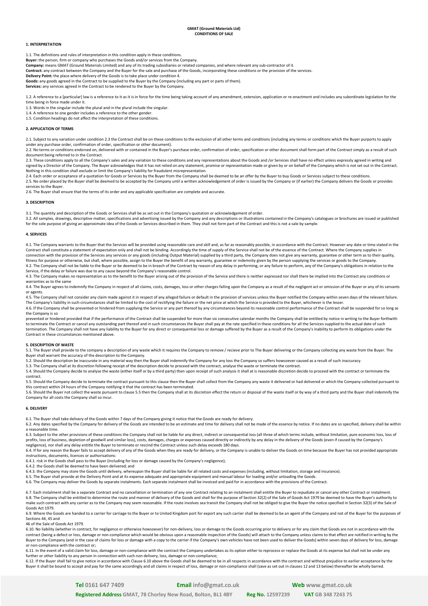#### **1. INTERPRETATION**

1.1. The definitions and rules of interpretation in this condition apply in these conditions.

**Buyer:** the person, firm or company who purchases the Goods and/or services from the Company. **Company:** means GMAT (Ground Materials Limited) and any of its trading subsidiaries or related companies, and where relevant any sub-contractor of it.

Contract: any contract between the Company and the Buyer for the sale and purchase of the Goods, incorporating these conditions or the provision of the services.

**Delivery Point:** the place where delivery of the Goods is to take place under condition 4.

**Goods:** any goods agreed in the Contract to be supplied to the Buyer by the Company (including any part or parts of them).

**Services:** any services agreed in the Contract to be rendered to the Buyer by the Company.

1.2. A reference to a [particular] law is a reference to it as it is in force for the time being taking account of any amendment, extension, application or re-enactment and includes any subordinate legislation for the time being in force made under it.

1.3. Words in the singular include the plural and in the plural include the singular.

1.4. A reference to one gender includes a reference to the other gender.

1.5. Condition headings do not affect the interpretation of these conditions.

## **2. APPLICATION OF TERMS**

2.1. Subject to any variation under condition 2.3 the Contract shall be on these conditions to the exclusion of all other terms and conditions (including any terms or conditions which the Buyer purports to apply

under any purchase order, confirmation of order, specification or other document).<br>2.2. No terms or conditions endorsed on, delivered with or contained in the Buyer's purchase order, confirmation of order, specification or document being referred to in the Contract.

2.3. These conditions apply to all the Company's sales and any variation to these conditions and any representations about the Goods and /or Services shall have no effect unless expressly agreed in writing and signed by a Director of the Company. The Buyer acknowledges that it has not relied on any statement, promise or representation made or given by or on behalf of the Company which is not set out in the Contract. Nothing in this condition shall exclude or limit the Company's liability for fraudulent misrepresentation.

2.4. Each order or acceptance of a quotation for Goods or Services by the Buyer from the Company shall be deemed to be an offer by the Buyer to buy Goods or Services subject to these conditions. 2.5. No order placed by the Buyer shall be deemed to be accepted by the Company until a written acknowledgement of order is issued by the Company or (if earlier) the Company delivers the Goods or provides services to the Buyer.

2.6. The Buyer shall ensure that the terms of its order and any applicable specification are complete and accurate.

#### **3. DESCRIPTION**

3.1. The quantity and description of the Goods or Services shall be as set out in the Company's quotation or acknowledgement of order.

3.2. All samples, drawings, descriptive matter, specifications and advertising issued by the Company and any descriptions or illustrations contained in the Company's catalogues or brochures are issued or published for the sole purpose of giving an approximate idea of the Goods or Services described in them. They shall not form part of the Contract and this is not a sale by sample.

### **4. SERVICES**

4.1. The Company warrants to the Buyer that the Services will be provided using reasonable care and skill and, as far as reasonably possible, in accordance with the Contract. However any date or time stated in the Contract shall constitute a statement of expectation only and shall not be binding. Accordingly the time of supply of the Service shall not be of the essence of the Contract. Where the Company supplies in connection with the provision of the Services any services or any goods (including Output Material) supplied by a third party, the Company does not give any warranty, guarantee or other term as to their quality, fitness for purpose or otherwise, but shall, where possible, assign to the Buyer the benefit of any warranty, guarantee or indemnity given by the person supplying the services or goods to the Company. 4.2. The Company shall not be liable to the Buyer or be deemed to be in breach of the Contract by reason of any delay in performing, or any failure to perform, any of the Company's obligations in relation to the Service, if the delay or failure was due to any cause beyond the Company's reasonable control.

4.3. The Company makes no representation as to the benefit to the Buyer arising out of the provision of the Service and there is neither expressed nor shall there be implied into the Contract any conditions or warranties as to the same

4.4. The Buyer agrees to indemnify the Company in respect of all claims, costs, damages, loss or other charges falling upon the Company as a result of the negligent act or omission of the Buyer or any of its servants or agents.

4.5. The Company shall not consider any claim made against it in respect of any alleged failure or default in the provision of services unless the Buyer notified the Company within seven days of the relevant failure. The Company's liability in such circumstances shall be limited to the cost of rectifying the failure or the net price at which the Service is provided to the Buyer, whichever is the lesser 4.6. If the Company shall be prevented or hindered from supplying the Service or any part thereof by any circumstances beyond its reasonable control performance of the Contract shall be suspended for so long as the Company is so

prevented or hindered provided that if the performance of the Contract shall be suspended for more than six consecutive calendar months the Company shall be entitled by notice in writing to the Buyer forthwith to terminate the Contract or cancel any outstanding part thereof and in such circumstances the Buyer shall pay at the rate specified in these conditions for all the Services supplied to the actual date of such termination. The Company shall not have any liability to the Buyer for any direct or consequential loss or damage suffered by the Buyer as a result of the Company's inability to perform its obligations under the Contract in these circumstances mentioned above.

## **5. DESCRIPTION OF WASTE**

5.1. The Buyer shall provide to the company a description of any waste which it requires the Company to remove / recieve prior to The Buyer delivering or the Company collecting any waste from the Buyer. The Buyer shall warrant the accuracy of the description to the Company.

5.2. Should the description be inaccurate in any material way then the Buyer shall indemnify the Company for any loss the Company so suffers howsoever caused as a result of such inaccuracy.

5.3. The Company shall at its discretion following receipt of the description decide to proceed with the contract, analyse the waste or terminate the contract.

5.4. Should the Company decide to analyse the waste (either itself or by a third party) then upon receipt of such analysis it shall at is reasonable discretion decide to proceed with the contract or terminate the contract.

5.5. Should the Company decide to terminate the contract pursuant to this clause then the Buyer shall collect from the Company any waste it delivered or had delivered or which the Company collected pursuant to this contract within 24 hours of the Company notifying it that the contract has been terminated.

5.6. Should the Buyer not collect the waste pursuant to clause 5.5 then the Company shall at its discretion effect the return or disposal of the waste itself or by way of a third party and the Buyer shall indemnify the Company for all costs the Company shall so incur.

#### **6. DELIVERY**

6.1. The Buyer shall take delivery of the Goods within 7 days of the Company giving it notice that the Goods are ready for delivery.

6.2. Any dates specified by the Company for delivery of the Goods are intended to be an estimate and time for delivery shall not be made of the essence by notice. If no dates are so specified, delivery shall be within a reasonable time.

6.3. Subject to the other provisions of these conditions the Company shall not be liable for any direct, indirect or consequential loss (all three of which terms include, without limitation, pure economic loss, loss of profits, loss of business, depletion of goodwill and similar loss), costs, damages, charges or expenses caused directly or indirectly by any delay in the delivery of the Goods (even if caused by the Company's negligence), nor shall any delay entitle the Buyer to terminate or rescind the Contract unless such delay exceeds 180 days.

6.4. If for any reason the Buyer fails to accept delivery of any of the Goods when they are ready for delivery, or the Company is unable to deliver the Goods on time because the Buyer has not provided appropriate instructions, documents, licences or authorisations:

6.4.1. risk in the Goods shall pass to the Buyer (including for loss or damage caused by the Company's negligence);

6.4.2. the Goods shall be deemed to have been delivered; and<br>6.4.3. the Company may store the Goods until delivery, whereupon the Buyer shall be liable for all related costs and expenses (including, without limitation, sto

6.5. The Buyer shall provide at the Delivery Point and at its expense adequate and appropriate equipment and manual labour for loading and/or unloading the Goods.

6.6. The Company may deliver the Goods by separate instalments. Each separate instalment shall be invoiced and paid for in accordance with the provisions of the Contract.

6.7. Each instalment shall be a separate Contract and no cancellation or termination of any one Contract relating to an instalment shall entitle the Buyer to repudiate or cancel any other Contract or instalment. 6.8. The Company shall be entitled to determine the route and manner of delivery of the Goods and shall for the purpose of Section 32(2) of the Sale of Goods Act 1979 be deemed to have the Buyer's authority to make such contract with any carrier as to the Company may seem reasonable. If the route involves sea transit the Company shall not be obliged to give the Buyer the notice specified in Section 32(3) of the Sale of may seem Goods Act 1979.

6.9. Where the Goods are handed to a carrier for carriage to the Buyer or to United Kingdom port for export any such carrier shall be deemed to be an agent of the Company and not of the Buyer for the purposes of Sections 44, 45 and

46 of the Sale of Goods Act 1979.

6.10. No liability (whether in contract, for negligence or otherwise howsoever) for non-delivery, loss or damage to the Goods accurring prior to delivery or for any claim that Goods are not in accordance with the contract (being a defect or loss, damage or non-compliance which would be obvious upon a reasonable inspection of the Goods) will attach to the Company unless claims to that effect are notified in writing by the<br>Buyer to t or non-compliance with the contract or;

6.11. In the event of a valid claim for loss, damage or non-compliance with the contract the Company undertakes as its option either to reprocess or replace the Goods at its expense but shall not be under any further or other liability to any person in connection with such non delivery, loss, damage or non-compliance;

6.12. If the Buyer shall fail to give notice in accordance with Clause 6.10 above the Goods shall be deemed to be in all respects in accordance with the contract and without prejudice to earlier acceptance by the Buyer it shall be bound to accept and pay for the same accordingly and all claims in respect of loss, damage or non-compliance shall (save as set out in clauses 12 and 13 below) thereafter be wholly barred.

**Tel 0161 647 7409 Email [info@gmat.co.uk](mailto:info@gmat.co.uk) Web [www.gmat.co.uk](http://www.gmat.co.uk/)**

**Registered Address GMAT, 78 Chorley New Road, Bolton, BL1 4BY Reg No. 12597239 VAT GB 348 7243 75**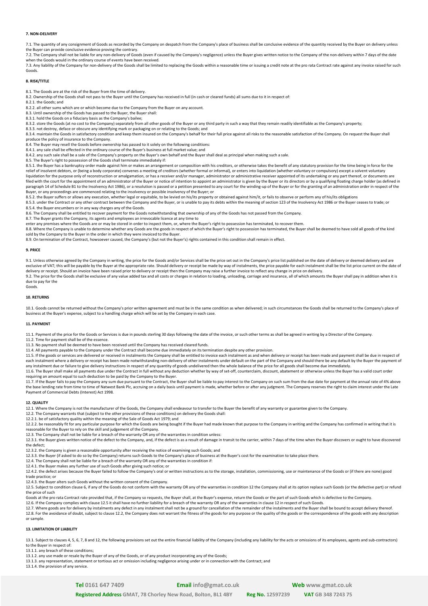#### **7. NON-DELIVERY**

7.1. The quantity of any consignment of Goods as recorded by the Company on despatch from the Company's place of business shall be conclusive evidence of the quantity received by the Buyer on delivery unless the Buyer can provide conclusive evidence proving the contrary.

7.2. The Company shall not be liable for any non-delivery of Goods (even if caused by the Company's negligence) unless the Buyer gives written notice to the Company of the non-delivery within 7 days of the date when the Goods would in the ordinary course of events have been received.

7.3. Any liability of the Company for non-delivery of the Goods shall be limited to replacing the Goods within a reasonable time or issuing a credit note at the pro rata Contract rate against any invoice raised for such Goods.

## **8. RISK/TITLE**

8.1. The Goods are at the risk of the Buyer from the time of delivery.

8.2. Ownership of the Goods shall not pass to the Buyer until the Company has received in full (in cash or cleared funds) all sums due to it in respect of:

8.2.1. the Goods; and

8.2.2. all other sums which are or which become due to the Company from the Buyer on any account.

8.3. Until ownership of the Goods has passed to the Buyer, the Buyer shall:

8.3.1. hold the Goods on a fiduciary basis as the Company's bailee;

8.3.2. store the Goods (at no cost to the Company) separately from all other goods of the Buyer or any third party in such a way that they remain readily identifiable as the Company's property; 8.3.3. not destroy, deface or obscure any identifying mark or packaging on or relating to the Goods; and

8.3.4. maintain the Goods in satisfactory condition and keep them insured on the Company's behalf for their full price against all risks to the reasonable satisfaction of the Company. On request the Buyer shall produce the policy of insurance to the Company.

8.4. The Buyer may resell the Goods before ownership has passed to it solely on the following conditions: 8.4.1. any sale shall be effected in the ordinary course of the Buyer's business at full market value; and

8.4.2. any such sale shall be a sale of the Company's property on the Buyer's own behalf and the Buyer shall deal as principal when making such a sale.

8.5. The Buyer's right to possession of the Goods shall terminate immediately if:

8.5.1. the Buyer has a bankruptcy order made against him or makes an arrangement or composition with his creditors, or otherwise takes the benefit of any statutory provision for the time being in force for the relief of insolvent debtors, or (being a body corporate) convenes a meeting of creditors (whether formal or informal), or enters into liquidation (whether voluntary or compulsory) except a solvent voluntary liquidation for the purpose only of reconstruction or amalgamation, or has a receiver and/or manager, administrator or administrative receiver appointed of its undertaking or any part thereof, or documents are filed with the court for the appointment of an administrator of the Buyer or notice of intention to appoint an administrator is given by the Buyer or its directors or by a qualifying floating charge holder (as defined in paragraph 14 of Schedule B1 to the Insolvency Act 1986), or a resolution is passed or a petition presented to any court for the winding-up of the Buyer or for the granting of an administration order in respect of the

Buyer, or any proceedings are commenced relating to the insolvency or possible insolvency of the Buyer; or 8.5.2. the Buyer suffers or allows any execution, whether legal or equitable, to be levied on his/its property or obtained against him/it, or fails to observe or perform any of his/its obligations

8.5.3. under the Contract or any other contract between the Company and the Buyer, or is unable to pay its debts within the meaning of section 123 of the Insolvency Act 1986 or the Buyer ceases to trade; or is unable to pa 8.5.4. the Buyer encumbers or in any way charges any of the Goods.

8.6. The Company shall be entitled to recover payment for the Goods notwithstanding that ownership of any of the Goods has not passed from the Company.<br>8.7. The Buyer grants the Company, its agents and employees an irrevoc

enter any premises where the Goods are or may be stored in order to inspect them, or, where the Buyer's right to possession has terminated, to recover them.

8.8. Where the Company is unable to determine whether any Goods are the goods in respect of which the Buyer's right to possession has terminated, the Buyer shall be deemed to have sold all goods of the kind sold by the Company to the Buyer in the order in which they were invoiced to the Buyer.

8.9. On termination of the Contract, howsoever caused, the Company's (but not the Buyer's) rights contained in this condition shall remain in effect.

#### **9. PRICE**

9.1. Unless otherwise agreed by the Company in writing, the price for the Goods and/or Services shall be the price set out in the Company's price list published on the date of delivery or deemed delivery and are exclusive of VAT; this will be payable by the Buyer at the appropriate rate. Should delivery or receipt be made by way of instalments, the price payable for each instalment shall be the list price current on the date of delivery or receipt. Should an invoice have been raised prior to delivery or receipt then the Company may raise a further invoice to reflect any change in price on delivery. 9.2. The price for the Goods shall be exclusive of any value added tax and all costs or charges in relation to loading, unloading, carriage and insurance, all of which amounts the Buyer shall pay in addition when it is due to pay for the

Goods.

## **10. RETURNS**

10.1. Goods cannot be returned without the Company's prior written agreement and must be in the same condition as when delivered; in such circumstances the Goods shall be returned to the Company's place of<br>business at the

#### **11. PAYMENT**

11.1. Payment of the price for the Goods or Services is due in pounds sterling 30 days following the date of the invoice, or such other terms as shall be agreed in writing by a Director of the Company.

11.2. Time for payment shall be of the essence.

11.3. No payment shall be deemed to have been received until the Company has received cleared funds.

11.4. All payments payable to the Company under the Contract shall become due immediately on its termination despite any other provision.

11.5. If the goods or services are delivered or received in instalments the Company shall be entitled to invoice each instalment as and when delivery or receipt has been made and payment shall be due in respect of each instalment where a delivery or receipt has been made notwithstanding non-delivery of other instalments under default on the part of the Company and should there be any default by the Buyer the payment of any instalment due or failure to give delivery instructions in respect of any quantity of goods undelivered then the whole balance of the price for all goods shall become due immediately.

11.6. The Buyer shall make all payments due under the Contract in full without any deduction whether by way of set-off, counterclaim, discount, abatement or otherwise unless the Buyer has a valid court order requiring an amount equal to such deduction to be paid by the Company to the Buyer.

All the Buyer fails to pay the Company any sum due pursuant to the Contract, the Buyer shall be liable to pay interest to the Company on such sum from the due date for payment at the annual rate of 4% above sum from the du the base lending rate from time to time of Natwest Bank Plc, accruing on a daily basis until payment is made, whether before or after any judgment. The Company reserves the right to claim interest under the Late Payment of Commercial Debts (Interest) Act 1998.

#### **12. QUALITY**

12.1. Where the Company is not the manufacturer of the Goods, the Company shall endeavour to transfer to the Buyer the benefit of any warranty or guarantee given to the Company.

12.2. The Company warrants that (subject to the other provisions of these conditions) on delivery the Goods shall:

12.2.1. be of satisfactory quality within the meaning of the Sale of Goods Act 1979; and

12.2.2. be reasonably fit for any particular purpose for which the Goods are being bought if the Buyer had made known that purpose to the Company in writing and the Company has confirmed in writing that it is reasonable for the Buyer to rely on the skill and judgement of the Company.

12.3. The Company shall not be liable for a breach of the warranty OR any of the warranties in condition unless:

12.3.1. the Buyer gives written notice of the defect to the Company, and, if the defect is as a result of damage in transit to the carrier, within 7 days of the time when the Buyer discovers or ought to have discovered the defect;

12.3.2. the Company is given a reasonable opportunity after receiving the notice of examining such Goods; and

12.3.3. the Buyer (if asked to do so by the Company) returns such Goods to the Company's place of business at the Buyer's cost for the examination to take place there.

12.4. The Company shall not be liable for a breach of the warranty OR any of the warranties in condition if:

12.4.1. the Buyer makes any further use of such Goods after giving such notice; or

12.4.2. the defect arises because the Buyer failed to follow the Company's oral or written instructions as to the storage, installation, commissioning, use or maintenance of the Goods or (if there are none) good trade practice; or

12.4.3. the Buyer alters such Goods without the written consent of the Company.

12.5. Subject to condition clause 6, if any of the Goods do not conform with the warranty OR any of the warranties in condition 12 the Company shall at its option replace such Goods (or the defective part) or refund the price of such

Goods at the pro rata Contract rate provided that, if the Company so requests, the Buyer shall, at the Buyer's expense, return the Goods or the part of such Goods which is defective to the Company.

12.6. If the Company complies with clause 12.5 it shall have no further liability for a breach of the warranty OR any of the warranties in clause 12 in respect of such Goods.

12.7. Where goods are for delivery by instalments any defect in any instalment shall not be a ground for cancellation of the remainder of the instalments and the Buyer shall be bound to accept delivery thereof.<br>12.8. For t or sample.

#### **13. LIMITATION OF LIABILITY**

13.1. Subject to clauses 4, 5, 6, 7, 8 and 12, the following provisions set out the entire financial liability of the Company (including any liability for the acts or omissions of its employees, agents and sub-contractors) to the Buyer in respect of:

13.1.1. any breach of these conditions;

13.1.2. any use made or resale by the Buyer of any of the Goods, or of any product incorporating any of the Goods;

13.1.3. any representation, statement or tortious act or omission including negligence arising under or in connection with the Contract; and

13.1.4. the provision of any service.

**Registered Address GMAT, 78 Chorley New Road, Bolton, BL1 4BY Reg No. 12597239 VAT GB 348 7243 75**